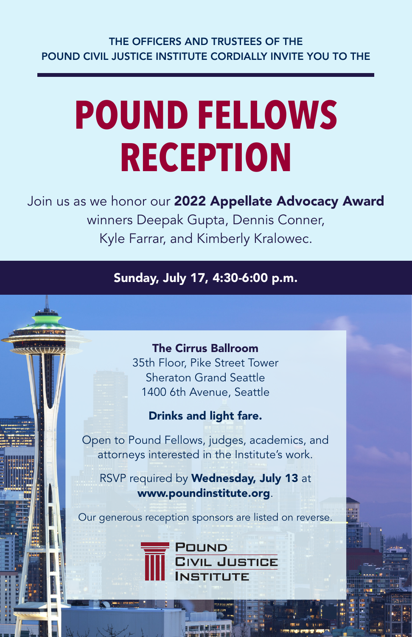# **POUND FELLOWS RECEPTION**

Join us as we honor our 2022 Appellate Advocacy Award winners Deepak Gupta, Dennis Conner, Kyle Farrar, and Kimberly Kralowec.

Sunday, July 17, 4:30-6:00 p.m.

# The Cirrus Ballroom

35th Floor, Pike Street Tower Sheraton Grand Seattle 1400 6th Avenue, Seattle

# Drinks and light fare.

Open to Pound Fellows, judges, academics, and attorneys interested in the Institute's work.

RSVP required by Wednesday, July 13 at www.poundinstitute.org.

Our generous reception sponsors are listed on reverse.